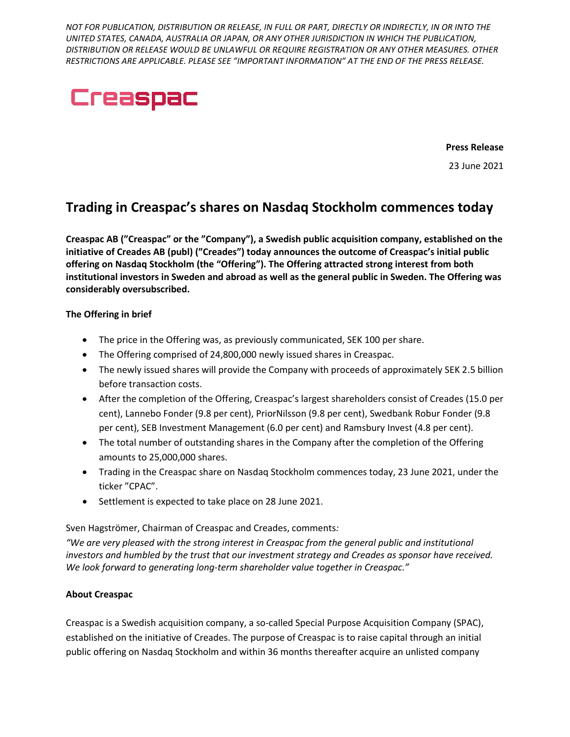*NOT FOR PUBLICATION, DISTRIBUTION OR RELEASE, IN FULL OR PART, DIRECTLY OR INDIRECTLY, IN OR INTO THE UNITED STATES, CANADA, AUSTRALIA OR JAPAN, OR ANY OTHER JURISDICTION IN WHICH THE PUBLICATION, DISTRIBUTION OR RELEASE WOULD BE UNLAWFUL OR REQUIRE REGISTRATION OR ANY OTHER MEASURES. OTHER RESTRICTIONS ARE APPLICABLE. PLEASE SEE "IMPORTANT INFORMATION" AT THE END OF THE PRESS RELEASE.*



**Press Release**

23 June 2021

# **Trading in Creaspac's shares on Nasdaq Stockholm commences today**

**Creaspac AB ("Creaspac" or the "Company"), a Swedish public acquisition company, established on the initiative of Creades AB (publ) ("Creades") today announces the outcome of Creaspac's initial public offering on Nasdaq Stockholm (the "Offering"). The Offering attracted strong interest from both institutional investors in Sweden and abroad as well as the general public in Sweden. The Offering was considerably oversubscribed.**

#### **The Offering in brief**

- The price in the Offering was, as previously communicated, SEK 100 per share.
- The Offering comprised of 24,800,000 newly issued shares in Creaspac.
- The newly issued shares will provide the Company with proceeds of approximately SEK 2.5 billion before transaction costs.
- After the completion of the Offering, Creaspac's largest shareholders consist of Creades (15.0 per cent), Lannebo Fonder (9.8 per cent), PriorNilsson (9.8 per cent), Swedbank Robur Fonder (9.8 per cent), SEB Investment Management (6.0 per cent) and Ramsbury Invest (4.8 per cent).
- The total number of outstanding shares in the Company after the completion of the Offering amounts to 25,000,000 shares.
- Trading in the Creaspac share on Nasdaq Stockholm commences today, 23 June 2021, under the ticker "CPAC".
- Settlement is expected to take place on 28 June 2021.

#### Sven Hagströmer, Chairman of Creaspac and Creades, comments*:*

*"We are very pleased with the strong interest in Creaspac from the general public and institutional investors and humbled by the trust that our investment strategy and Creades as sponsor have received. We look forward to generating long-term shareholder value together in Creaspac."*

# **About Creaspac**

Creaspac is a Swedish acquisition company, a so-called Special Purpose Acquisition Company (SPAC), established on the initiative of Creades. The purpose of Creaspac is to raise capital through an initial public offering on Nasdaq Stockholm and within 36 months thereafter acquire an unlisted company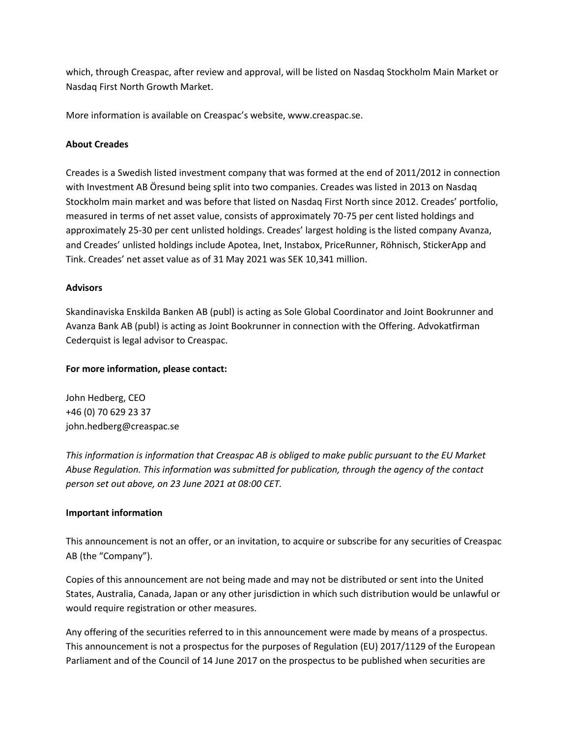which, through Creaspac, after review and approval, will be listed on Nasdaq Stockholm Main Market or Nasdaq First North Growth Market.

More information is available on Creaspac's website, www.creaspac.se.

### **About Creades**

Creades is a Swedish listed investment company that was formed at the end of 2011/2012 in connection with Investment AB Öresund being split into two companies. Creades was listed in 2013 on Nasdaq Stockholm main market and was before that listed on Nasdaq First North since 2012. Creades' portfolio, measured in terms of net asset value, consists of approximately 70-75 per cent listed holdings and approximately 25-30 per cent unlisted holdings. Creades' largest holding is the listed company Avanza, and Creades' unlisted holdings include Apotea, Inet, Instabox, PriceRunner, Röhnisch, StickerApp and Tink. Creades' net asset value as of 31 May 2021 was SEK 10,341 million.

#### **Advisors**

Skandinaviska Enskilda Banken AB (publ) is acting as Sole Global Coordinator and Joint Bookrunner and Avanza Bank AB (publ) is acting as Joint Bookrunner in connection with the Offering. Advokatfirman Cederquist is legal advisor to Creaspac.

### **For more information, please contact:**

John Hedberg, CEO +46 (0) 70 629 23 37 john.hedberg@creaspac.se

*This information is information that Creaspac AB is obliged to make public pursuant to the EU Market Abuse Regulation. This information was submitted for publication, through the agency of the contact person set out above, on 23 June 2021 at 08:00 CET.*

# **Important information**

This announcement is not an offer, or an invitation, to acquire or subscribe for any securities of Creaspac AB (the "Company").

Copies of this announcement are not being made and may not be distributed or sent into the United States, Australia, Canada, Japan or any other jurisdiction in which such distribution would be unlawful or would require registration or other measures.

Any offering of the securities referred to in this announcement were made by means of a prospectus. This announcement is not a prospectus for the purposes of Regulation (EU) 2017/1129 of the European Parliament and of the Council of 14 June 2017 on the prospectus to be published when securities are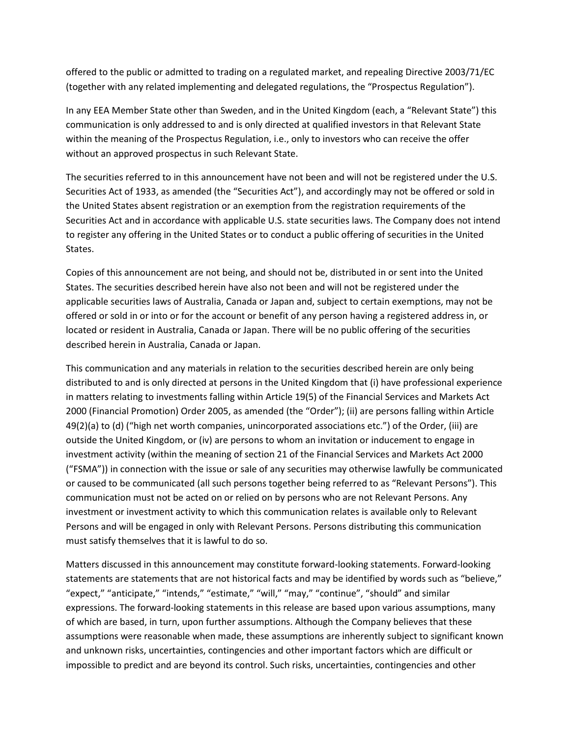offered to the public or admitted to trading on a regulated market, and repealing Directive 2003/71/EC (together with any related implementing and delegated regulations, the "Prospectus Regulation").

In any EEA Member State other than Sweden, and in the United Kingdom (each, a "Relevant State") this communication is only addressed to and is only directed at qualified investors in that Relevant State within the meaning of the Prospectus Regulation, i.e., only to investors who can receive the offer without an approved prospectus in such Relevant State.

The securities referred to in this announcement have not been and will not be registered under the U.S. Securities Act of 1933, as amended (the "Securities Act"), and accordingly may not be offered or sold in the United States absent registration or an exemption from the registration requirements of the Securities Act and in accordance with applicable U.S. state securities laws. The Company does not intend to register any offering in the United States or to conduct a public offering of securities in the United States.

Copies of this announcement are not being, and should not be, distributed in or sent into the United States. The securities described herein have also not been and will not be registered under the applicable securities laws of Australia, Canada or Japan and, subject to certain exemptions, may not be offered or sold in or into or for the account or benefit of any person having a registered address in, or located or resident in Australia, Canada or Japan. There will be no public offering of the securities described herein in Australia, Canada or Japan.

This communication and any materials in relation to the securities described herein are only being distributed to and is only directed at persons in the United Kingdom that (i) have professional experience in matters relating to investments falling within Article 19(5) of the Financial Services and Markets Act 2000 (Financial Promotion) Order 2005, as amended (the "Order"); (ii) are persons falling within Article 49(2)(a) to (d) ("high net worth companies, unincorporated associations etc.") of the Order, (iii) are outside the United Kingdom, or (iv) are persons to whom an invitation or inducement to engage in investment activity (within the meaning of section 21 of the Financial Services and Markets Act 2000 ("FSMA")) in connection with the issue or sale of any securities may otherwise lawfully be communicated or caused to be communicated (all such persons together being referred to as "Relevant Persons"). This communication must not be acted on or relied on by persons who are not Relevant Persons. Any investment or investment activity to which this communication relates is available only to Relevant Persons and will be engaged in only with Relevant Persons. Persons distributing this communication must satisfy themselves that it is lawful to do so.

Matters discussed in this announcement may constitute forward-looking statements. Forward-looking statements are statements that are not historical facts and may be identified by words such as "believe," "expect," "anticipate," "intends," "estimate," "will," "may," "continue", "should" and similar expressions. The forward-looking statements in this release are based upon various assumptions, many of which are based, in turn, upon further assumptions. Although the Company believes that these assumptions were reasonable when made, these assumptions are inherently subject to significant known and unknown risks, uncertainties, contingencies and other important factors which are difficult or impossible to predict and are beyond its control. Such risks, uncertainties, contingencies and other